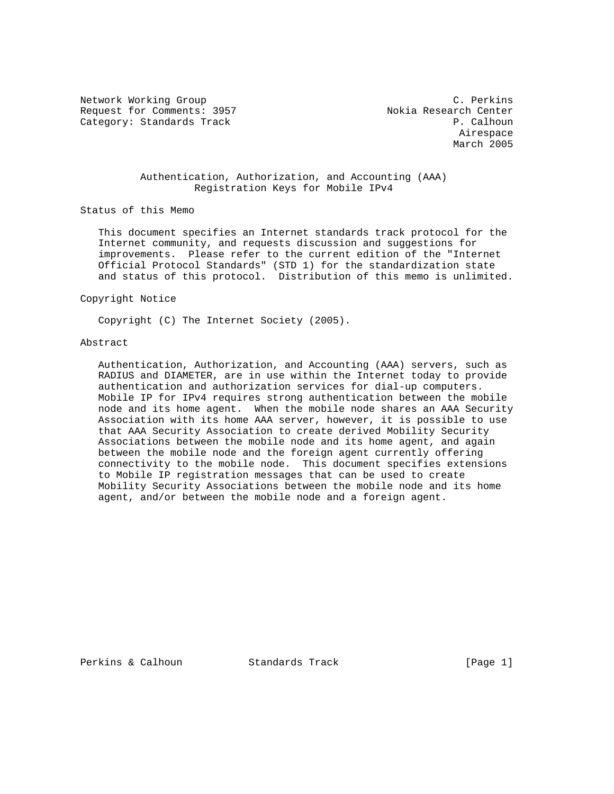Network Working Group C. Perkins Request for Comments: 3957 Nokia Research Center Category: Standards Track P. Calhoun

 Airespace March 2005

## Authentication, Authorization, and Accounting (AAA) Registration Keys for Mobile IPv4

Status of this Memo

 This document specifies an Internet standards track protocol for the Internet community, and requests discussion and suggestions for improvements. Please refer to the current edition of the "Internet Official Protocol Standards" (STD 1) for the standardization state and status of this protocol. Distribution of this memo is unlimited.

Copyright Notice

Copyright (C) The Internet Society (2005).

## Abstract

 Authentication, Authorization, and Accounting (AAA) servers, such as RADIUS and DIAMETER, are in use within the Internet today to provide authentication and authorization services for dial-up computers. Mobile IP for IPv4 requires strong authentication between the mobile node and its home agent. When the mobile node shares an AAA Security Association with its home AAA server, however, it is possible to use that AAA Security Association to create derived Mobility Security Associations between the mobile node and its home agent, and again between the mobile node and the foreign agent currently offering connectivity to the mobile node. This document specifies extensions to Mobile IP registration messages that can be used to create Mobility Security Associations between the mobile node and its home agent, and/or between the mobile node and a foreign agent.

Perkins & Calhoun Standards Track [Page 1]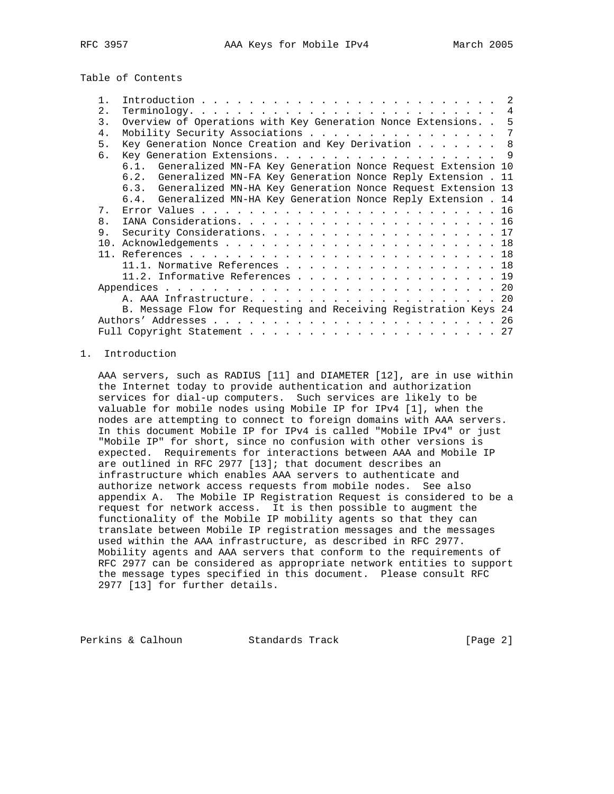Table of Contents

| 2.          |                                                                  |                                                                                                                                                                                                                                                                                                                                                                         |
|-------------|------------------------------------------------------------------|-------------------------------------------------------------------------------------------------------------------------------------------------------------------------------------------------------------------------------------------------------------------------------------------------------------------------------------------------------------------------|
| 3.          | Overview of Operations with Key Generation Nonce Extensions      | -5                                                                                                                                                                                                                                                                                                                                                                      |
| 4.          |                                                                  |                                                                                                                                                                                                                                                                                                                                                                         |
| 5.          |                                                                  |                                                                                                                                                                                                                                                                                                                                                                         |
| б.          | Key Generation Extensions. 9                                     |                                                                                                                                                                                                                                                                                                                                                                         |
|             |                                                                  |                                                                                                                                                                                                                                                                                                                                                                         |
|             | 6.2. Generalized MN-FA Key Generation Nonce Reply Extension . 11 |                                                                                                                                                                                                                                                                                                                                                                         |
|             |                                                                  |                                                                                                                                                                                                                                                                                                                                                                         |
|             | 6.4. Generalized MN-HA Key Generation Nonce Reply Extension . 14 |                                                                                                                                                                                                                                                                                                                                                                         |
| $7^{\circ}$ |                                                                  |                                                                                                                                                                                                                                                                                                                                                                         |
| 8.          |                                                                  |                                                                                                                                                                                                                                                                                                                                                                         |
| 9.          |                                                                  |                                                                                                                                                                                                                                                                                                                                                                         |
| 10.         |                                                                  |                                                                                                                                                                                                                                                                                                                                                                         |
|             |                                                                  |                                                                                                                                                                                                                                                                                                                                                                         |
|             |                                                                  |                                                                                                                                                                                                                                                                                                                                                                         |
|             |                                                                  |                                                                                                                                                                                                                                                                                                                                                                         |
|             |                                                                  |                                                                                                                                                                                                                                                                                                                                                                         |
|             |                                                                  |                                                                                                                                                                                                                                                                                                                                                                         |
|             |                                                                  |                                                                                                                                                                                                                                                                                                                                                                         |
|             |                                                                  |                                                                                                                                                                                                                                                                                                                                                                         |
|             |                                                                  |                                                                                                                                                                                                                                                                                                                                                                         |
|             |                                                                  | Mobility Security Associations 7<br>Key Generation Nonce Creation and Key Derivation 8<br>6.1. Generalized MN-FA Key Generation Nonce Request Extension 10<br>6.3. Generalized MN-HA Key Generation Nonce Request Extension 13<br>11.1. Normative References 18<br>11.2. Informative References 19<br>B. Message Flow for Requesting and Receiving Registration Keys 24 |

#### 1. Introduction

 AAA servers, such as RADIUS [11] and DIAMETER [12], are in use within the Internet today to provide authentication and authorization services for dial-up computers. Such services are likely to be valuable for mobile nodes using Mobile IP for IPv4 [1], when the nodes are attempting to connect to foreign domains with AAA servers. In this document Mobile IP for IPv4 is called "Mobile IPv4" or just "Mobile IP" for short, since no confusion with other versions is expected. Requirements for interactions between AAA and Mobile IP are outlined in RFC 2977 [13]; that document describes an infrastructure which enables AAA servers to authenticate and authorize network access requests from mobile nodes. See also appendix A. The Mobile IP Registration Request is considered to be a request for network access. It is then possible to augment the functionality of the Mobile IP mobility agents so that they can translate between Mobile IP registration messages and the messages used within the AAA infrastructure, as described in RFC 2977. Mobility agents and AAA servers that conform to the requirements of RFC 2977 can be considered as appropriate network entities to support the message types specified in this document. Please consult RFC 2977 [13] for further details.

Perkins & Calhoun Standards Track [Page 2]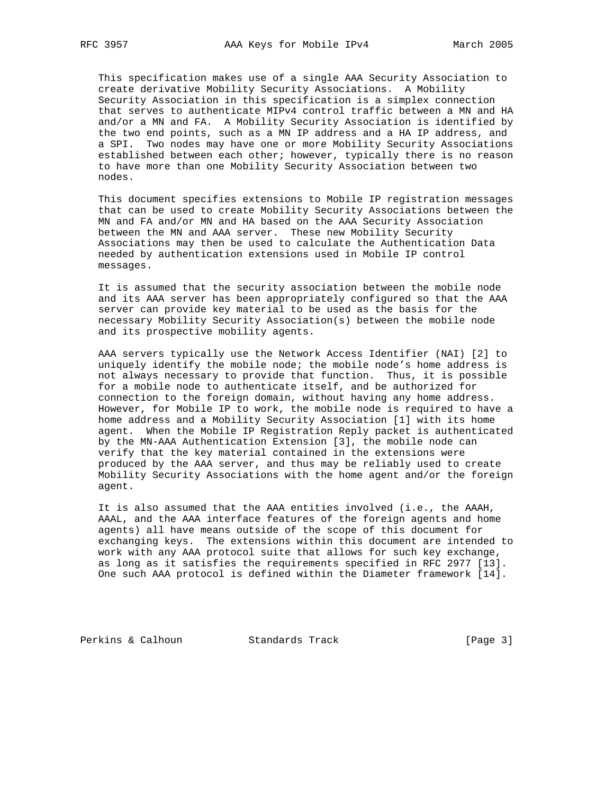This specification makes use of a single AAA Security Association to create derivative Mobility Security Associations. A Mobility Security Association in this specification is a simplex connection that serves to authenticate MIPv4 control traffic between a MN and HA and/or a MN and FA. A Mobility Security Association is identified by the two end points, such as a MN IP address and a HA IP address, and a SPI. Two nodes may have one or more Mobility Security Associations established between each other; however, typically there is no reason to have more than one Mobility Security Association between two nodes.

 This document specifies extensions to Mobile IP registration messages that can be used to create Mobility Security Associations between the MN and FA and/or MN and HA based on the AAA Security Association between the MN and AAA server. These new Mobility Security Associations may then be used to calculate the Authentication Data needed by authentication extensions used in Mobile IP control messages.

 It is assumed that the security association between the mobile node and its AAA server has been appropriately configured so that the AAA server can provide key material to be used as the basis for the necessary Mobility Security Association(s) between the mobile node and its prospective mobility agents.

 AAA servers typically use the Network Access Identifier (NAI) [2] to uniquely identify the mobile node; the mobile node's home address is not always necessary to provide that function. Thus, it is possible for a mobile node to authenticate itself, and be authorized for connection to the foreign domain, without having any home address. However, for Mobile IP to work, the mobile node is required to have a home address and a Mobility Security Association [1] with its home agent. When the Mobile IP Registration Reply packet is authenticated by the MN-AAA Authentication Extension [3], the mobile node can verify that the key material contained in the extensions were produced by the AAA server, and thus may be reliably used to create Mobility Security Associations with the home agent and/or the foreign agent.

 It is also assumed that the AAA entities involved (i.e., the AAAH, AAAL, and the AAA interface features of the foreign agents and home agents) all have means outside of the scope of this document for exchanging keys. The extensions within this document are intended to work with any AAA protocol suite that allows for such key exchange, as long as it satisfies the requirements specified in RFC 2977 [13]. One such AAA protocol is defined within the Diameter framework [14].

Perkins & Calhoun Standards Track [Page 3]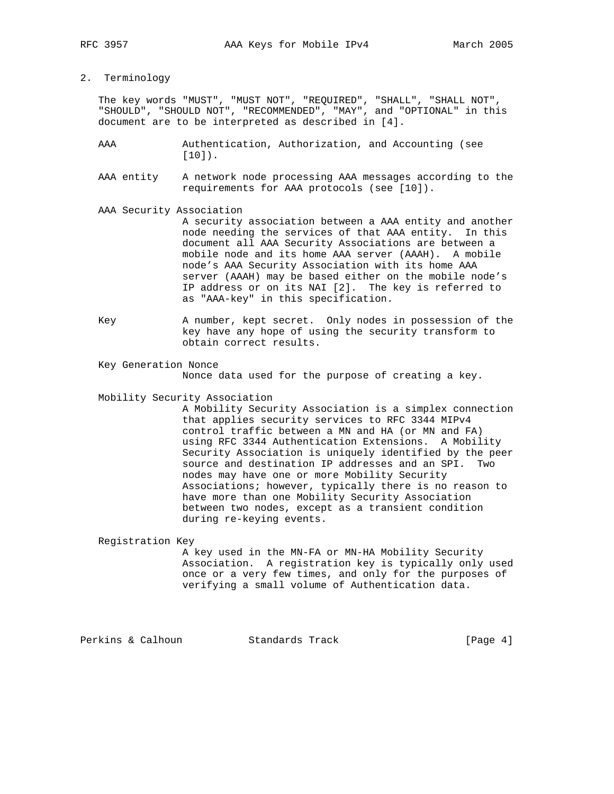2. Terminology

 The key words "MUST", "MUST NOT", "REQUIRED", "SHALL", "SHALL NOT", "SHOULD", "SHOULD NOT", "RECOMMENDED", "MAY", and "OPTIONAL" in this document are to be interpreted as described in [4].

- AAA Authentication, Authorization, and Accounting (see [10]).
- AAA entity A network node processing AAA messages according to the requirements for AAA protocols (see [10]).
- AAA Security Association

 A security association between a AAA entity and another node needing the services of that AAA entity. In this document all AAA Security Associations are between a mobile node and its home AAA server (AAAH). A mobile node's AAA Security Association with its home AAA server (AAAH) may be based either on the mobile node's IP address or on its NAI [2]. The key is referred to as "AAA-key" in this specification.

- Key A number, kept secret. Only nodes in possession of the key have any hope of using the security transform to obtain correct results.
- Key Generation Nonce Nonce data used for the purpose of creating a key.
- Mobility Security Association

 A Mobility Security Association is a simplex connection that applies security services to RFC 3344 MIPv4 control traffic between a MN and HA (or MN and FA) using RFC 3344 Authentication Extensions. A Mobility Security Association is uniquely identified by the peer source and destination IP addresses and an SPI. Two nodes may have one or more Mobility Security Associations; however, typically there is no reason to have more than one Mobility Security Association between two nodes, except as a transient condition during re-keying events.

Registration Key

 A key used in the MN-FA or MN-HA Mobility Security Association. A registration key is typically only used once or a very few times, and only for the purposes of verifying a small volume of Authentication data.

Perkins & Calhoun Standards Track [Page 4]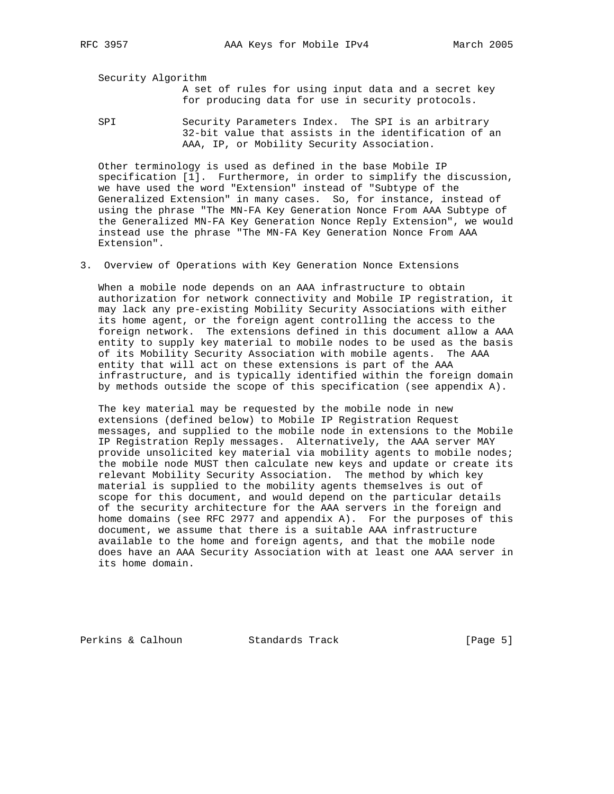Security Algorithm

 A set of rules for using input data and a secret key for producing data for use in security protocols.

SPI Security Parameters Index. The SPI is an arbitrary 32-bit value that assists in the identification of an AAA, IP, or Mobility Security Association.

 Other terminology is used as defined in the base Mobile IP specification [1]. Furthermore, in order to simplify the discussion, we have used the word "Extension" instead of "Subtype of the Generalized Extension" in many cases. So, for instance, instead of using the phrase "The MN-FA Key Generation Nonce From AAA Subtype of the Generalized MN-FA Key Generation Nonce Reply Extension", we would instead use the phrase "The MN-FA Key Generation Nonce From AAA Extension".

3. Overview of Operations with Key Generation Nonce Extensions

 When a mobile node depends on an AAA infrastructure to obtain authorization for network connectivity and Mobile IP registration, it may lack any pre-existing Mobility Security Associations with either its home agent, or the foreign agent controlling the access to the foreign network. The extensions defined in this document allow a AAA entity to supply key material to mobile nodes to be used as the basis of its Mobility Security Association with mobile agents. The AAA entity that will act on these extensions is part of the AAA infrastructure, and is typically identified within the foreign domain by methods outside the scope of this specification (see appendix A).

 The key material may be requested by the mobile node in new extensions (defined below) to Mobile IP Registration Request messages, and supplied to the mobile node in extensions to the Mobile IP Registration Reply messages. Alternatively, the AAA server MAY provide unsolicited key material via mobility agents to mobile nodes; the mobile node MUST then calculate new keys and update or create its relevant Mobility Security Association. The method by which key material is supplied to the mobility agents themselves is out of scope for this document, and would depend on the particular details of the security architecture for the AAA servers in the foreign and home domains (see RFC 2977 and appendix A). For the purposes of this document, we assume that there is a suitable AAA infrastructure available to the home and foreign agents, and that the mobile node does have an AAA Security Association with at least one AAA server in its home domain.

Perkins & Calhoun Standards Track [Page 5]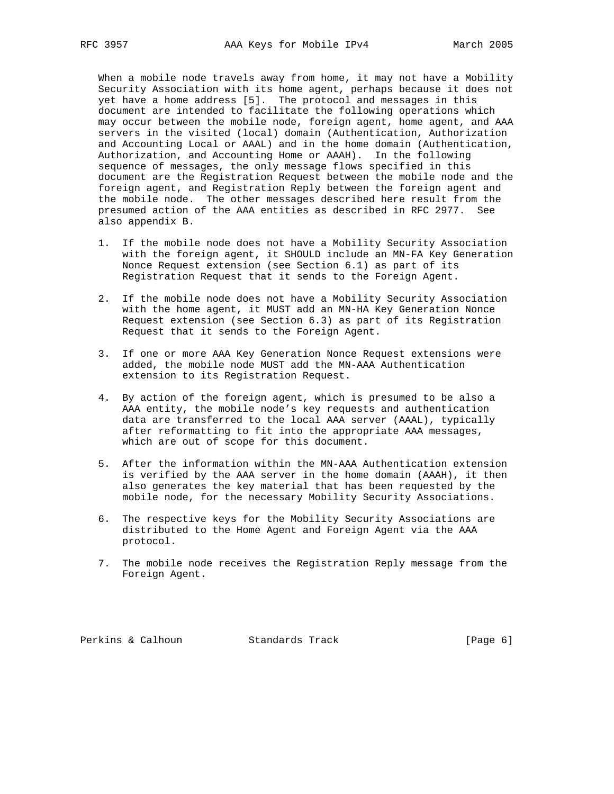When a mobile node travels away from home, it may not have a Mobility Security Association with its home agent, perhaps because it does not yet have a home address [5]. The protocol and messages in this document are intended to facilitate the following operations which may occur between the mobile node, foreign agent, home agent, and AAA servers in the visited (local) domain (Authentication, Authorization and Accounting Local or AAAL) and in the home domain (Authentication, Authorization, and Accounting Home or AAAH). In the following sequence of messages, the only message flows specified in this document are the Registration Request between the mobile node and the foreign agent, and Registration Reply between the foreign agent and the mobile node. The other messages described here result from the presumed action of the AAA entities as described in RFC 2977. See also appendix B.

- 1. If the mobile node does not have a Mobility Security Association with the foreign agent, it SHOULD include an MN-FA Key Generation Nonce Request extension (see Section 6.1) as part of its Registration Request that it sends to the Foreign Agent.
- 2. If the mobile node does not have a Mobility Security Association with the home agent, it MUST add an MN-HA Key Generation Nonce Request extension (see Section 6.3) as part of its Registration Request that it sends to the Foreign Agent.
- 3. If one or more AAA Key Generation Nonce Request extensions were added, the mobile node MUST add the MN-AAA Authentication extension to its Registration Request.
- 4. By action of the foreign agent, which is presumed to be also a AAA entity, the mobile node's key requests and authentication data are transferred to the local AAA server (AAAL), typically after reformatting to fit into the appropriate AAA messages, which are out of scope for this document.
- 5. After the information within the MN-AAA Authentication extension is verified by the AAA server in the home domain (AAAH), it then also generates the key material that has been requested by the mobile node, for the necessary Mobility Security Associations.
- 6. The respective keys for the Mobility Security Associations are distributed to the Home Agent and Foreign Agent via the AAA protocol.
- 7. The mobile node receives the Registration Reply message from the Foreign Agent.

Perkins & Calhoun Standards Track [Page 6]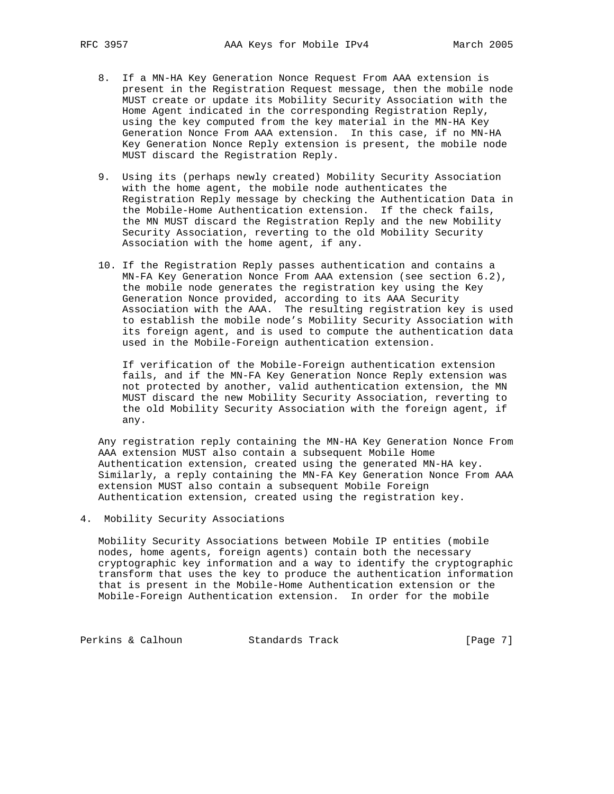- 8. If a MN-HA Key Generation Nonce Request From AAA extension is present in the Registration Request message, then the mobile node MUST create or update its Mobility Security Association with the Home Agent indicated in the corresponding Registration Reply, using the key computed from the key material in the MN-HA Key Generation Nonce From AAA extension. In this case, if no MN-HA Key Generation Nonce Reply extension is present, the mobile node MUST discard the Registration Reply.
- 9. Using its (perhaps newly created) Mobility Security Association with the home agent, the mobile node authenticates the Registration Reply message by checking the Authentication Data in the Mobile-Home Authentication extension. If the check fails, the MN MUST discard the Registration Reply and the new Mobility Security Association, reverting to the old Mobility Security Association with the home agent, if any.
- 10. If the Registration Reply passes authentication and contains a MN-FA Key Generation Nonce From AAA extension (see section 6.2), the mobile node generates the registration key using the Key Generation Nonce provided, according to its AAA Security Association with the AAA. The resulting registration key is used to establish the mobile node's Mobility Security Association with its foreign agent, and is used to compute the authentication data used in the Mobile-Foreign authentication extension.

 If verification of the Mobile-Foreign authentication extension fails, and if the MN-FA Key Generation Nonce Reply extension was not protected by another, valid authentication extension, the MN MUST discard the new Mobility Security Association, reverting to the old Mobility Security Association with the foreign agent, if any.

 Any registration reply containing the MN-HA Key Generation Nonce From AAA extension MUST also contain a subsequent Mobile Home Authentication extension, created using the generated MN-HA key. Similarly, a reply containing the MN-FA Key Generation Nonce From AAA extension MUST also contain a subsequent Mobile Foreign Authentication extension, created using the registration key.

4. Mobility Security Associations

 Mobility Security Associations between Mobile IP entities (mobile nodes, home agents, foreign agents) contain both the necessary cryptographic key information and a way to identify the cryptographic transform that uses the key to produce the authentication information that is present in the Mobile-Home Authentication extension or the Mobile-Foreign Authentication extension. In order for the mobile

Perkins & Calhoun Standards Track [Page 7]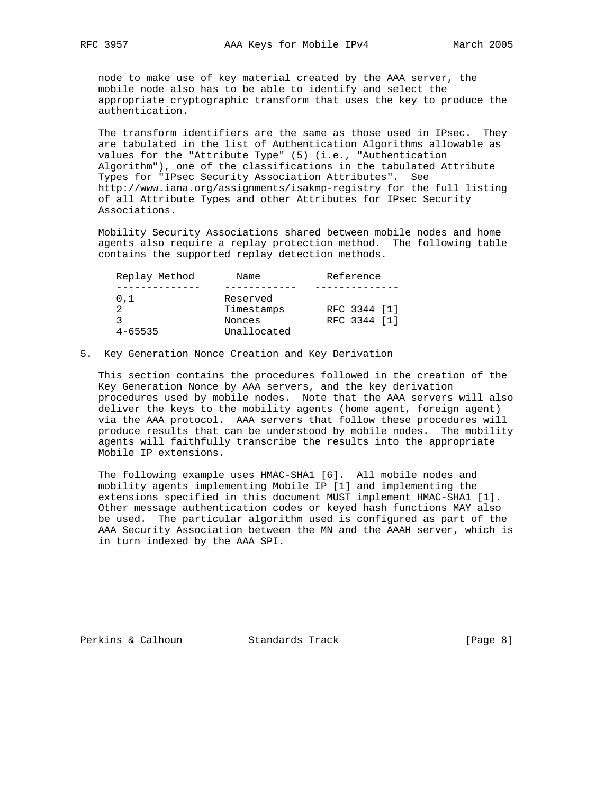node to make use of key material created by the AAA server, the mobile node also has to be able to identify and select the appropriate cryptographic transform that uses the key to produce the authentication.

 The transform identifiers are the same as those used in IPsec. They are tabulated in the list of Authentication Algorithms allowable as values for the "Attribute Type" (5) (i.e., "Authentication Algorithm"), one of the classifications in the tabulated Attribute Types for "IPsec Security Association Attributes". See http://www.iana.org/assignments/isakmp-registry for the full listing of all Attribute Types and other Attributes for IPsec Security Associations.

 Mobility Security Associations shared between mobile nodes and home agents also require a replay protection method. The following table contains the supported replay detection methods.

| Replay Method | Name        | Reference    |
|---------------|-------------|--------------|
|               |             |              |
| 0.1           | Reserved    |              |
|               | Timestamps  | RFC 3344 [1] |
|               | Nonces      | RFC 3344 [1] |
| $4 - 65535$   | Unallocated |              |

5. Key Generation Nonce Creation and Key Derivation

 This section contains the procedures followed in the creation of the Key Generation Nonce by AAA servers, and the key derivation procedures used by mobile nodes. Note that the AAA servers will also deliver the keys to the mobility agents (home agent, foreign agent) via the AAA protocol. AAA servers that follow these procedures will produce results that can be understood by mobile nodes. The mobility agents will faithfully transcribe the results into the appropriate Mobile IP extensions.

 The following example uses HMAC-SHA1 [6]. All mobile nodes and mobility agents implementing Mobile IP [1] and implementing the extensions specified in this document MUST implement HMAC-SHA1 [1]. Other message authentication codes or keyed hash functions MAY also be used. The particular algorithm used is configured as part of the AAA Security Association between the MN and the AAAH server, which is in turn indexed by the AAA SPI.

Perkins & Calhoun Standards Track [Page 8]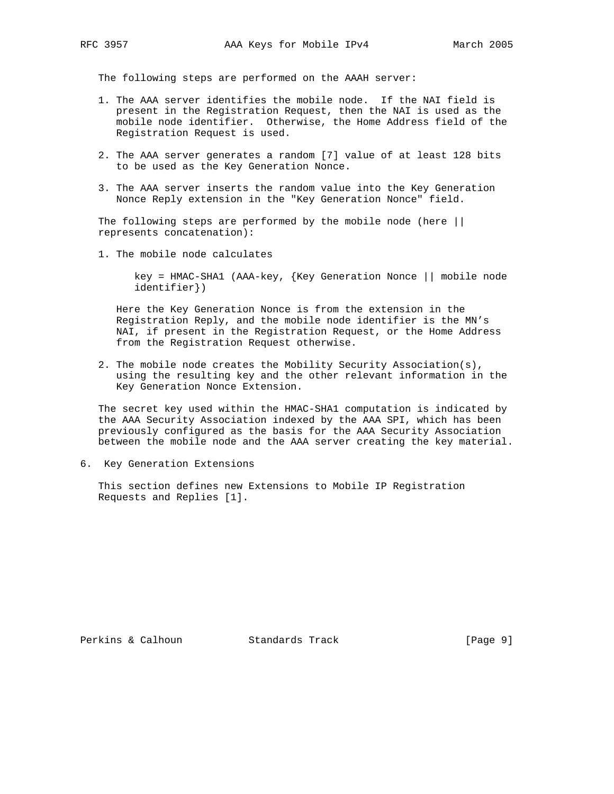The following steps are performed on the AAAH server:

- 1. The AAA server identifies the mobile node. If the NAI field is present in the Registration Request, then the NAI is used as the mobile node identifier. Otherwise, the Home Address field of the Registration Request is used.
- 2. The AAA server generates a random [7] value of at least 128 bits to be used as the Key Generation Nonce.
- 3. The AAA server inserts the random value into the Key Generation Nonce Reply extension in the "Key Generation Nonce" field.

The following steps are performed by the mobile node (here || represents concatenation):

1. The mobile node calculates

 key = HMAC-SHA1 (AAA-key, {Key Generation Nonce || mobile node identifier})

 Here the Key Generation Nonce is from the extension in the Registration Reply, and the mobile node identifier is the MN's NAI, if present in the Registration Request, or the Home Address from the Registration Request otherwise.

 2. The mobile node creates the Mobility Security Association(s), using the resulting key and the other relevant information in the Key Generation Nonce Extension.

 The secret key used within the HMAC-SHA1 computation is indicated by the AAA Security Association indexed by the AAA SPI, which has been previously configured as the basis for the AAA Security Association between the mobile node and the AAA server creating the key material.

6. Key Generation Extensions

 This section defines new Extensions to Mobile IP Registration Requests and Replies [1].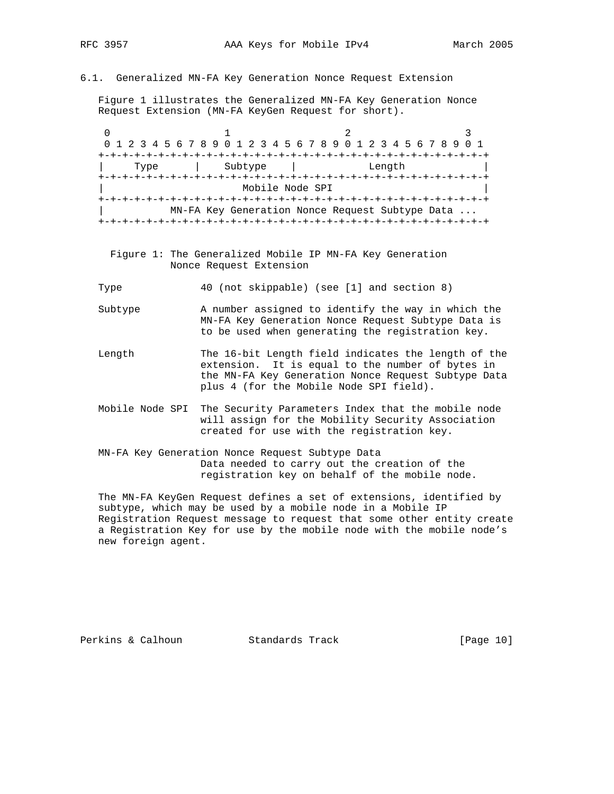6.1. Generalized MN-FA Key Generation Nonce Request Extension

 Figure 1 illustrates the Generalized MN-FA Key Generation Nonce Request Extension (MN-FA KeyGen Request for short).

0  $1$  2 3 0 1 2 3 4 5 6 7 8 9 0 1 2 3 4 5 6 7 8 9 0 1 2 3 4 5 6 7 8 9 0 1 +-+-+-+-+-+-+-+-+-+-+-+-+-+-+-+-+-+-+-+-+-+-+-+-+-+-+-+-+-+-+-+-+ | Type | Subtype | Length | +-+-+-+-+-+-+-+-+-+-+-+-+-+-+-+-+-+-+-+-+-+-+-+-+-+-+-+-+-+-+-+-+ | Mobile Node SPI | +-+-+-+-+-+-+-+-+-+-+-+-+-+-+-+-+-+-+-+-+-+-+-+-+-+-+-+-+-+-+-+-+ | MN-FA Key Generation Nonce Request Subtype Data ... +-+-+-+-+-+-+-+-+-+-+-+-+-+-+-+-+-+-+-+-+-+-+-+-+-+-+-+-+-+-+-+-+

 Figure 1: The Generalized Mobile IP MN-FA Key Generation Nonce Request Extension

Type 40 (not skippable) (see [1] and section 8)

- Subtype A number assigned to identify the way in which the MN-FA Key Generation Nonce Request Subtype Data is to be used when generating the registration key.
- Length The 16-bit Length field indicates the length of the extension. It is equal to the number of bytes in the MN-FA Key Generation Nonce Request Subtype Data plus 4 (for the Mobile Node SPI field).
- Mobile Node SPI The Security Parameters Index that the mobile node will assign for the Mobility Security Association created for use with the registration key.
- MN-FA Key Generation Nonce Request Subtype Data Data needed to carry out the creation of the registration key on behalf of the mobile node.

 The MN-FA KeyGen Request defines a set of extensions, identified by subtype, which may be used by a mobile node in a Mobile IP Registration Request message to request that some other entity create a Registration Key for use by the mobile node with the mobile node's new foreign agent.

Perkins & Calhoun Standards Track [Page 10]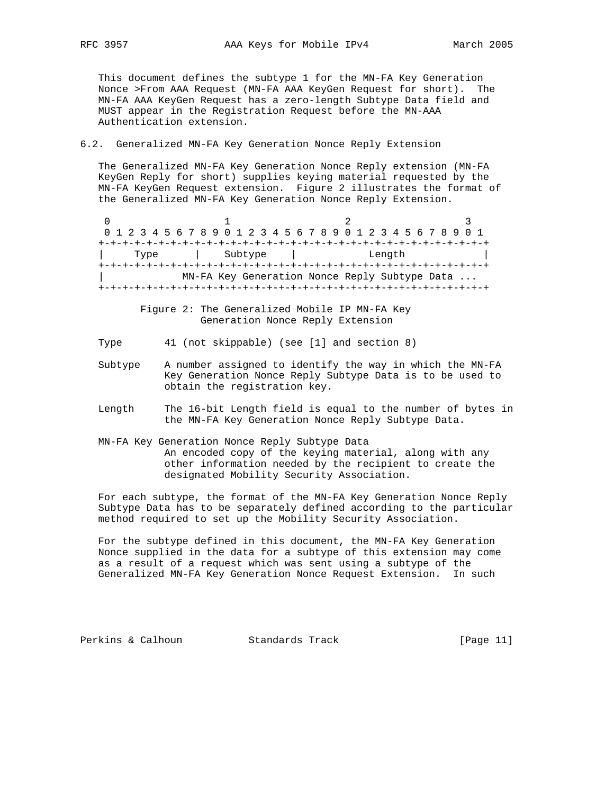This document defines the subtype 1 for the MN-FA Key Generation Nonce >From AAA Request (MN-FA AAA KeyGen Request for short). The MN-FA AAA KeyGen Request has a zero-length Subtype Data field and MUST appear in the Registration Request before the MN-AAA Authentication extension.

## 6.2. Generalized MN-FA Key Generation Nonce Reply Extension

 The Generalized MN-FA Key Generation Nonce Reply extension (MN-FA KeyGen Reply for short) supplies keying material requested by the MN-FA KeyGen Request extension. Figure 2 illustrates the format of the Generalized MN-FA Key Generation Nonce Reply Extension.

0  $1$  2 3 0 1 2 3 4 5 6 7 8 9 0 1 2 3 4 5 6 7 8 9 0 1 2 3 4 5 6 7 8 9 0 1 +-+-+-+-+-+-+-+-+-+-+-+-+-+-+-+-+-+-+-+-+-+-+-+-+-+-+-+-+-+-+-+-+ | Type | Subtype | Length | +-+-+-+-+-+-+-+-+-+-+-+-+-+-+-+-+-+-+-+-+-+-+-+-+-+-+-+-+-+-+-+-+ MN-FA Key Generation Nonce Reply Subtype Data ... +-+-+-+-+-+-+-+-+-+-+-+-+-+-+-+-+-+-+-+-+-+-+-+-+-+-+-+-+-+-+-+-+

> Figure 2: The Generalized Mobile IP MN-FA Key Generation Nonce Reply Extension

Type 41 (not skippable) (see [1] and section 8)

- Subtype A number assigned to identify the way in which the MN-FA Key Generation Nonce Reply Subtype Data is to be used to obtain the registration key.
- Length The 16-bit Length field is equal to the number of bytes in the MN-FA Key Generation Nonce Reply Subtype Data.
- MN-FA Key Generation Nonce Reply Subtype Data An encoded copy of the keying material, along with any other information needed by the recipient to create the designated Mobility Security Association.

 For each subtype, the format of the MN-FA Key Generation Nonce Reply Subtype Data has to be separately defined according to the particular method required to set up the Mobility Security Association.

 For the subtype defined in this document, the MN-FA Key Generation Nonce supplied in the data for a subtype of this extension may come as a result of a request which was sent using a subtype of the Generalized MN-FA Key Generation Nonce Request Extension. In such

Perkins & Calhoun Standards Track [Page 11]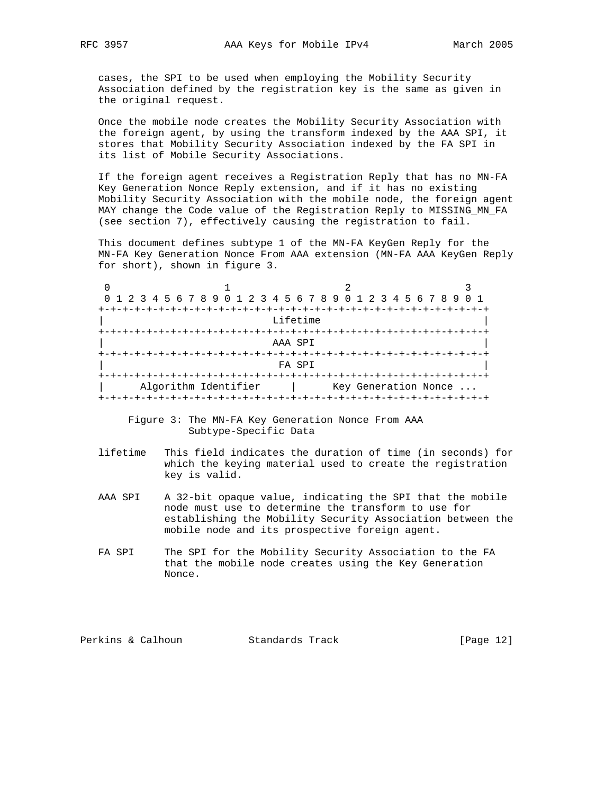cases, the SPI to be used when employing the Mobility Security Association defined by the registration key is the same as given in the original request.

 Once the mobile node creates the Mobility Security Association with the foreign agent, by using the transform indexed by the AAA SPI, it stores that Mobility Security Association indexed by the FA SPI in its list of Mobile Security Associations.

 If the foreign agent receives a Registration Reply that has no MN-FA Key Generation Nonce Reply extension, and if it has no existing Mobility Security Association with the mobile node, the foreign agent MAY change the Code value of the Registration Reply to MISSING\_MN\_FA (see section 7), effectively causing the registration to fail.

 This document defines subtype 1 of the MN-FA KeyGen Reply for the MN-FA Key Generation Nonce From AAA extension (MN-FA AAA KeyGen Reply for short), shown in figure 3.

| 0 1 2 3 4 5 6 7 8 9 0 1 2 3 4 5 6 7 8 9 0 1 2 3 4 5 6 7 8 9 |  |  |                      |  |  |  |  |          |  |  |  |  |  |                      |  |  |
|-------------------------------------------------------------|--|--|----------------------|--|--|--|--|----------|--|--|--|--|--|----------------------|--|--|
|                                                             |  |  |                      |  |  |  |  |          |  |  |  |  |  |                      |  |  |
|                                                             |  |  |                      |  |  |  |  | Lifetime |  |  |  |  |  |                      |  |  |
|                                                             |  |  |                      |  |  |  |  |          |  |  |  |  |  |                      |  |  |
|                                                             |  |  |                      |  |  |  |  | AAA SPI  |  |  |  |  |  |                      |  |  |
|                                                             |  |  |                      |  |  |  |  |          |  |  |  |  |  |                      |  |  |
|                                                             |  |  |                      |  |  |  |  | FA SPI   |  |  |  |  |  |                      |  |  |
|                                                             |  |  |                      |  |  |  |  |          |  |  |  |  |  |                      |  |  |
|                                                             |  |  | Algorithm Identifier |  |  |  |  |          |  |  |  |  |  | Key Generation Nonce |  |  |
|                                                             |  |  |                      |  |  |  |  |          |  |  |  |  |  |                      |  |  |

 Figure 3: The MN-FA Key Generation Nonce From AAA Subtype-Specific Data

- lifetime This field indicates the duration of time (in seconds) for which the keying material used to create the registration key is valid.
- AAA SPI A 32-bit opaque value, indicating the SPI that the mobile node must use to determine the transform to use for establishing the Mobility Security Association between the mobile node and its prospective foreign agent.
- FA SPI The SPI for the Mobility Security Association to the FA that the mobile node creates using the Key Generation Nonce.

Perkins & Calhoun Standards Track [Page 12]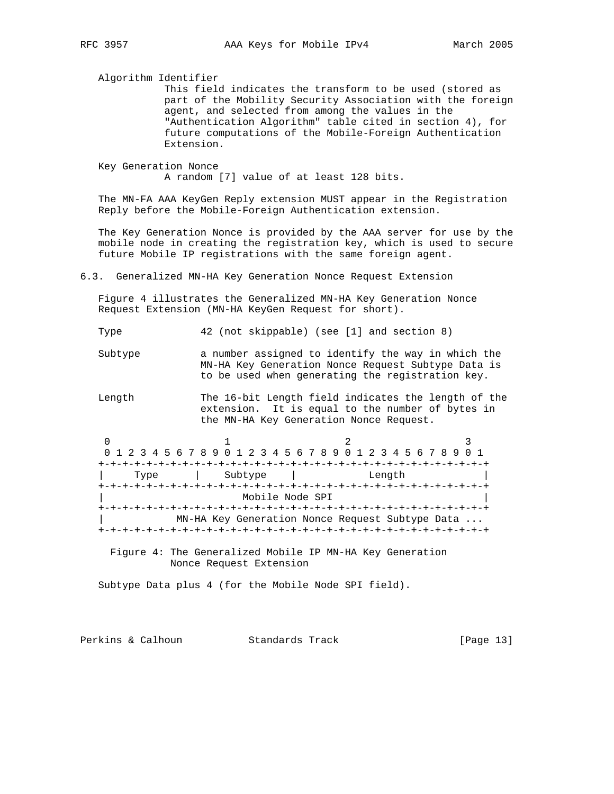Algorithm Identifier

 This field indicates the transform to be used (stored as part of the Mobility Security Association with the foreign agent, and selected from among the values in the "Authentication Algorithm" table cited in section 4), for future computations of the Mobile-Foreign Authentication Extension.

 Key Generation Nonce A random [7] value of at least 128 bits.

 The MN-FA AAA KeyGen Reply extension MUST appear in the Registration Reply before the Mobile-Foreign Authentication extension.

 The Key Generation Nonce is provided by the AAA server for use by the mobile node in creating the registration key, which is used to secure future Mobile IP registrations with the same foreign agent.

6.3. Generalized MN-HA Key Generation Nonce Request Extension

 Figure 4 illustrates the Generalized MN-HA Key Generation Nonce Request Extension (MN-HA KeyGen Request for short).

Type 42 (not skippable) (see [1] and section 8)

Subtype a number assigned to identify the way in which the MN-HA Key Generation Nonce Request Subtype Data is to be used when generating the registration key.

 Length The 16-bit Length field indicates the length of the extension. It is equal to the number of bytes in the MN-HA Key Generation Nonce Request.

|      | 0 1 2 3 4 5 6 7 8 9 0 1 2 3 4 5 6 7 8 9 0 1 2 3 4 5 6 7 8 9 0 1 |        |  |  |  |  |  |
|------|-----------------------------------------------------------------|--------|--|--|--|--|--|
|      |                                                                 |        |  |  |  |  |  |
| Type | Subtype                                                         | Length |  |  |  |  |  |
|      |                                                                 |        |  |  |  |  |  |
|      | Mobile Node SPI                                                 |        |  |  |  |  |  |
|      |                                                                 |        |  |  |  |  |  |
|      | MN-HA Key Generation Nonce Request Subtype Data                 |        |  |  |  |  |  |
|      |                                                                 |        |  |  |  |  |  |
|      |                                                                 |        |  |  |  |  |  |

 Figure 4: The Generalized Mobile IP MN-HA Key Generation Nonce Request Extension

Subtype Data plus 4 (for the Mobile Node SPI field).

Perkins & Calhoun Standards Track [Page 13]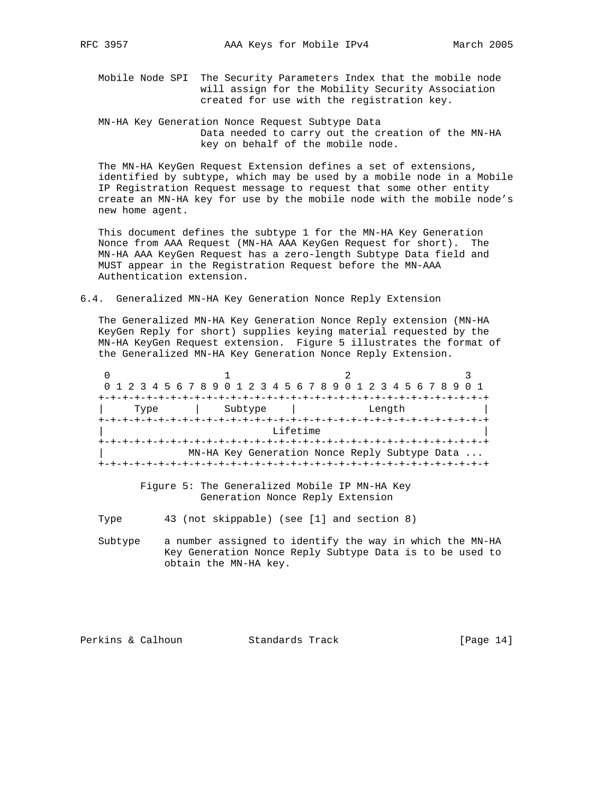- Mobile Node SPI The Security Parameters Index that the mobile node will assign for the Mobility Security Association created for use with the registration key.
- MN-HA Key Generation Nonce Request Subtype Data Data needed to carry out the creation of the MN-HA key on behalf of the mobile node.

 The MN-HA KeyGen Request Extension defines a set of extensions, identified by subtype, which may be used by a mobile node in a Mobile IP Registration Request message to request that some other entity create an MN-HA key for use by the mobile node with the mobile node's new home agent.

 This document defines the subtype 1 for the MN-HA Key Generation Nonce from AAA Request (MN-HA AAA KeyGen Request for short). The MN-HA AAA KeyGen Request has a zero-length Subtype Data field and MUST appear in the Registration Request before the MN-AAA Authentication extension.

6.4. Generalized MN-HA Key Generation Nonce Reply Extension

 The Generalized MN-HA Key Generation Nonce Reply extension (MN-HA KeyGen Reply for short) supplies keying material requested by the MN-HA KeyGen Request extension. Figure 5 illustrates the format of the Generalized MN-HA Key Generation Nonce Reply Extension.

0  $1$  2 3 0 1 2 3 4 5 6 7 8 9 0 1 2 3 4 5 6 7 8 9 0 1 2 3 4 5 6 7 8 9 0 1 +-+-+-+-+-+-+-+-+-+-+-+-+-+-+-+-+-+-+-+-+-+-+-+-+-+-+-+-+-+-+-+-+ | Type | Subtype | Length | +-+-+-+-+-+-+-+-+-+-+-+-+-+-+-+-+-+-+-+-+-+-+-+-+-+-+-+-+-+-+-+-+ Lifetime +-+-+-+-+-+-+-+-+-+-+-+-+-+-+-+-+-+-+-+-+-+-+-+-+-+-+-+-+-+-+-+-+ MN-HA Key Generation Nonce Reply Subtype Data ... +-+-+-+-+-+-+-+-+-+-+-+-+-+-+-+-+-+-+-+-+-+-+-+-+-+-+-+-+-+-+-+-+

> Figure 5: The Generalized Mobile IP MN-HA Key Generation Nonce Reply Extension

Type 43 (not skippable) (see [1] and section 8)

 Subtype a number assigned to identify the way in which the MN-HA Key Generation Nonce Reply Subtype Data is to be used to obtain the MN-HA key.

Perkins & Calhoun Standards Track [Page 14]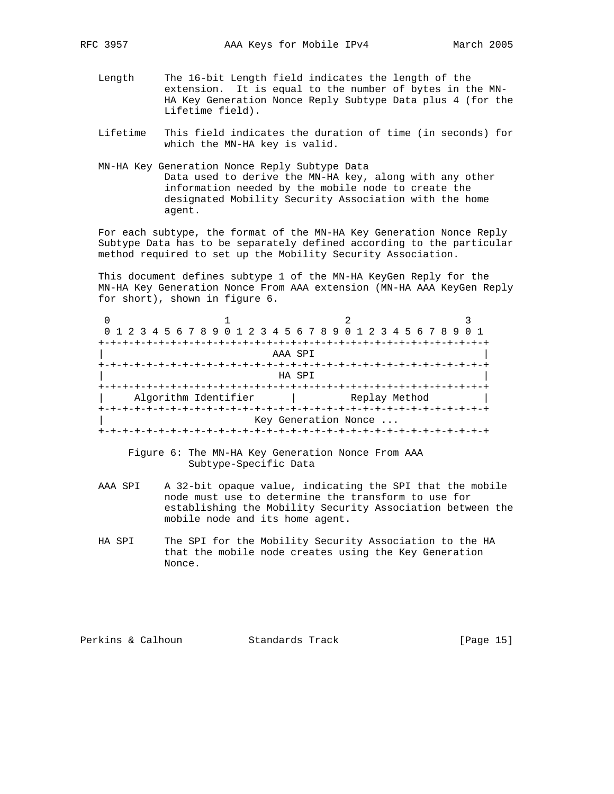- Length The 16-bit Length field indicates the length of the extension. It is equal to the number of bytes in the MN- HA Key Generation Nonce Reply Subtype Data plus 4 (for the Lifetime field).
- Lifetime This field indicates the duration of time (in seconds) for which the MN-HA key is valid.
- MN-HA Key Generation Nonce Reply Subtype Data Data used to derive the MN-HA key, along with any other information needed by the mobile node to create the designated Mobility Security Association with the home agent.

 For each subtype, the format of the MN-HA Key Generation Nonce Reply Subtype Data has to be separately defined according to the particular method required to set up the Mobility Security Association.

 This document defines subtype 1 of the MN-HA KeyGen Reply for the MN-HA Key Generation Nonce From AAA extension (MN-HA AAA KeyGen Reply for short), shown in figure 6.

|                      | 0 1 2 3 4 5 6 7 8 9 0 1 2 3 4 5 6 7 8 9 0 1 2 3 4 5 6 7 8 9 0 1 |  |
|----------------------|-----------------------------------------------------------------|--|
|                      |                                                                 |  |
|                      | AAA SPI                                                         |  |
|                      |                                                                 |  |
|                      | HA SPI                                                          |  |
|                      | +-+-+-+-+-+-+                                                   |  |
| Algorithm Identifier | Replay Method                                                   |  |
|                      |                                                                 |  |
|                      | Key Generation Nonce                                            |  |
|                      |                                                                 |  |

 Figure 6: The MN-HA Key Generation Nonce From AAA Subtype-Specific Data

- AAA SPI A 32-bit opaque value, indicating the SPI that the mobile node must use to determine the transform to use for establishing the Mobility Security Association between the mobile node and its home agent.
- HA SPI The SPI for the Mobility Security Association to the HA that the mobile node creates using the Key Generation Nonce.

Perkins & Calhoun Standards Track [Page 15]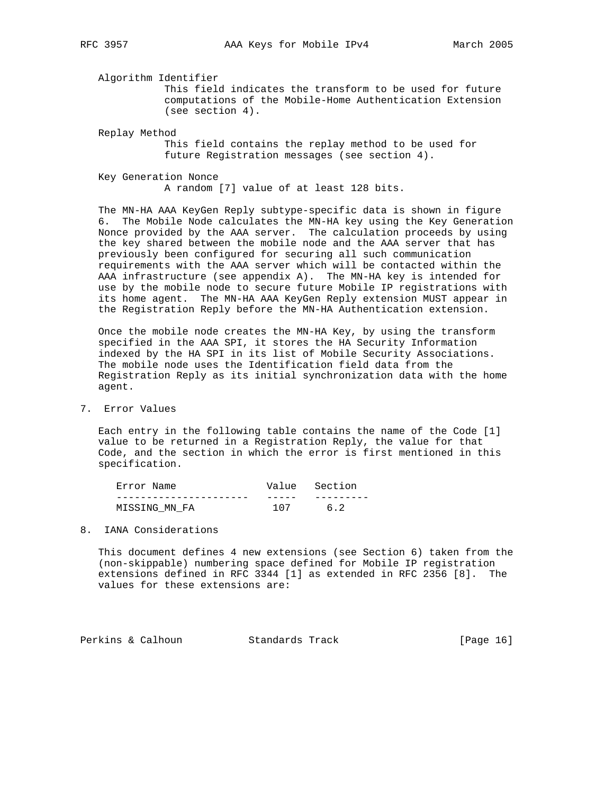Algorithm Identifier This field indicates the transform to be used for future computations of the Mobile-Home Authentication Extension (see section 4).

Replay Method

 This field contains the replay method to be used for future Registration messages (see section 4).

Key Generation Nonce

A random [7] value of at least 128 bits.

 The MN-HA AAA KeyGen Reply subtype-specific data is shown in figure 6. The Mobile Node calculates the MN-HA key using the Key Generation Nonce provided by the AAA server. The calculation proceeds by using the key shared between the mobile node and the AAA server that has previously been configured for securing all such communication requirements with the AAA server which will be contacted within the AAA infrastructure (see appendix A). The MN-HA key is intended for use by the mobile node to secure future Mobile IP registrations with its home agent. The MN-HA AAA KeyGen Reply extension MUST appear in the Registration Reply before the MN-HA Authentication extension.

 Once the mobile node creates the MN-HA Key, by using the transform specified in the AAA SPI, it stores the HA Security Information indexed by the HA SPI in its list of Mobile Security Associations. The mobile node uses the Identification field data from the Registration Reply as its initial synchronization data with the home agent.

# 7. Error Values

 Each entry in the following table contains the name of the Code [1] value to be returned in a Registration Reply, the value for that Code, and the section in which the error is first mentioned in this specification.

| Error Name    |     | Value Section |
|---------------|-----|---------------|
|               |     |               |
| MISSING MN FA | 107 | 6.2           |

#### 8. IANA Considerations

 This document defines 4 new extensions (see Section 6) taken from the (non-skippable) numbering space defined for Mobile IP registration extensions defined in RFC 3344 [1] as extended in RFC 2356 [8]. The values for these extensions are:

Perkins & Calhoun Standards Track [Page 16]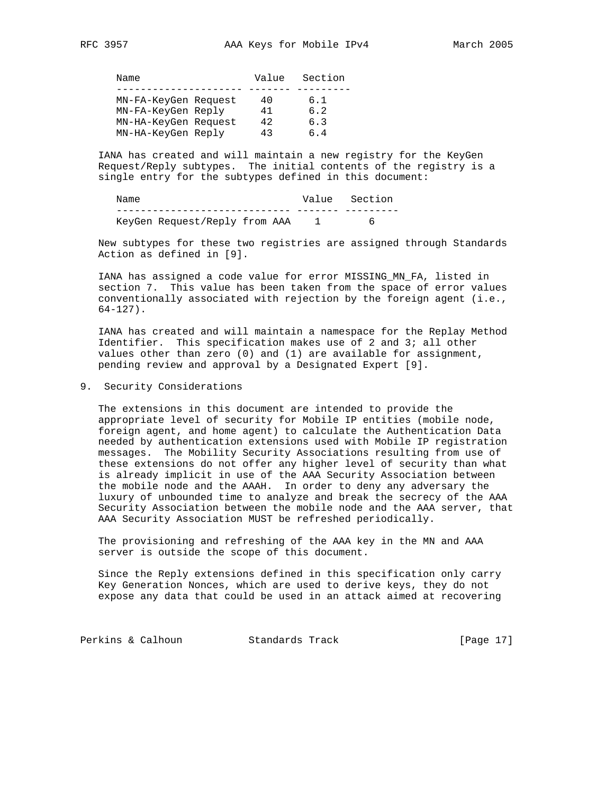Name **Value** Section --------------------- ------- --------- MN-FA-KeyGen Request 40 6.1 MN-FA-KeyGen Reply 41 6.2 MN-HA-KeyGen Request 42 6.3 MN-HA-KeyGen Reply  $43$  6.4

 IANA has created and will maintain a new registry for the KeyGen Request/Reply subtypes. The initial contents of the registry is a single entry for the subtypes defined in this document:

Name Value Section ----------------------------- ------- --------- KeyGen Request/Reply from AAA 1 6

 New subtypes for these two registries are assigned through Standards Action as defined in [9].

 IANA has assigned a code value for error MISSING\_MN\_FA, listed in section 7. This value has been taken from the space of error values conventionally associated with rejection by the foreign agent (i.e., 64-127).

 IANA has created and will maintain a namespace for the Replay Method Identifier. This specification makes use of 2 and 3; all other values other than zero (0) and (1) are available for assignment, pending review and approval by a Designated Expert [9].

9. Security Considerations

 The extensions in this document are intended to provide the appropriate level of security for Mobile IP entities (mobile node, foreign agent, and home agent) to calculate the Authentication Data needed by authentication extensions used with Mobile IP registration messages. The Mobility Security Associations resulting from use of these extensions do not offer any higher level of security than what is already implicit in use of the AAA Security Association between the mobile node and the AAAH. In order to deny any adversary the luxury of unbounded time to analyze and break the secrecy of the AAA Security Association between the mobile node and the AAA server, that AAA Security Association MUST be refreshed periodically.

 The provisioning and refreshing of the AAA key in the MN and AAA server is outside the scope of this document.

 Since the Reply extensions defined in this specification only carry Key Generation Nonces, which are used to derive keys, they do not expose any data that could be used in an attack aimed at recovering

Perkins & Calhoun Standards Track [Page 17]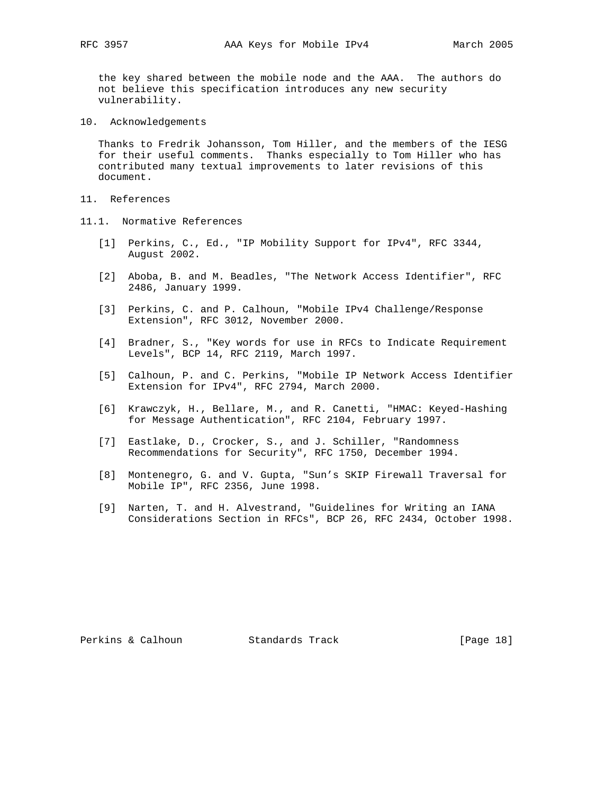the key shared between the mobile node and the AAA. The authors do not believe this specification introduces any new security vulnerability.

10. Acknowledgements

 Thanks to Fredrik Johansson, Tom Hiller, and the members of the IESG for their useful comments. Thanks especially to Tom Hiller who has contributed many textual improvements to later revisions of this document.

- 11. References
- 11.1. Normative References
	- [1] Perkins, C., Ed., "IP Mobility Support for IPv4", RFC 3344, August 2002.
	- [2] Aboba, B. and M. Beadles, "The Network Access Identifier", RFC 2486, January 1999.
	- [3] Perkins, C. and P. Calhoun, "Mobile IPv4 Challenge/Response Extension", RFC 3012, November 2000.
	- [4] Bradner, S., "Key words for use in RFCs to Indicate Requirement Levels", BCP 14, RFC 2119, March 1997.
	- [5] Calhoun, P. and C. Perkins, "Mobile IP Network Access Identifier Extension for IPv4", RFC 2794, March 2000.
	- [6] Krawczyk, H., Bellare, M., and R. Canetti, "HMAC: Keyed-Hashing for Message Authentication", RFC 2104, February 1997.
	- [7] Eastlake, D., Crocker, S., and J. Schiller, "Randomness Recommendations for Security", RFC 1750, December 1994.
	- [8] Montenegro, G. and V. Gupta, "Sun's SKIP Firewall Traversal for Mobile IP", RFC 2356, June 1998.
	- [9] Narten, T. and H. Alvestrand, "Guidelines for Writing an IANA Considerations Section in RFCs", BCP 26, RFC 2434, October 1998.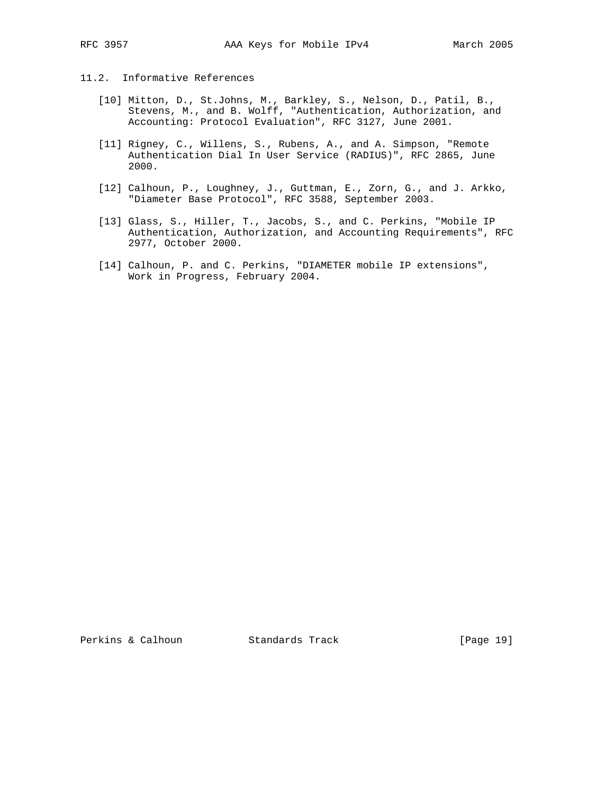# 11.2. Informative References

- [10] Mitton, D., St.Johns, M., Barkley, S., Nelson, D., Patil, B., Stevens, M., and B. Wolff, "Authentication, Authorization, and Accounting: Protocol Evaluation", RFC 3127, June 2001.
- [11] Rigney, C., Willens, S., Rubens, A., and A. Simpson, "Remote Authentication Dial In User Service (RADIUS)", RFC 2865, June 2000.
- [12] Calhoun, P., Loughney, J., Guttman, E., Zorn, G., and J. Arkko, "Diameter Base Protocol", RFC 3588, September 2003.
- [13] Glass, S., Hiller, T., Jacobs, S., and C. Perkins, "Mobile IP Authentication, Authorization, and Accounting Requirements", RFC 2977, October 2000.
- [14] Calhoun, P. and C. Perkins, "DIAMETER mobile IP extensions", Work in Progress, February 2004.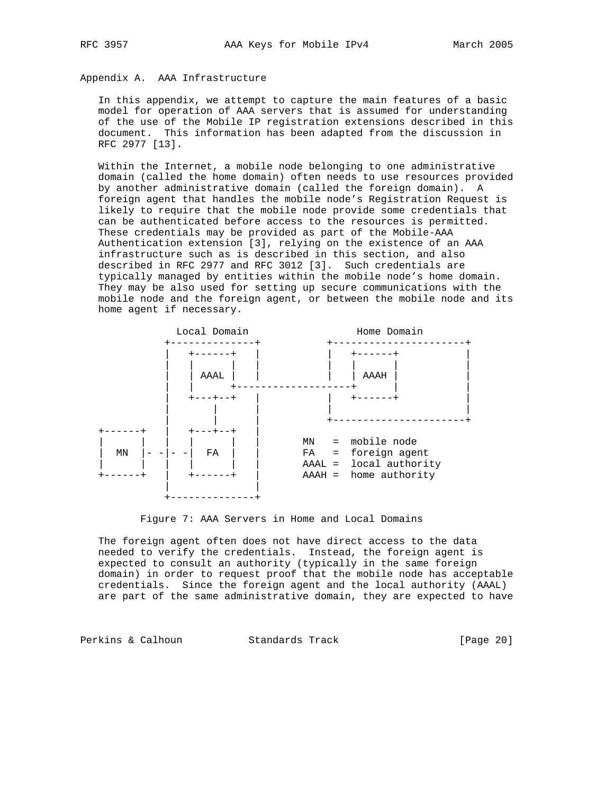# Appendix A. AAA Infrastructure

 In this appendix, we attempt to capture the main features of a basic model for operation of AAA servers that is assumed for understanding of the use of the Mobile IP registration extensions described in this document. This information has been adapted from the discussion in RFC 2977 [13].

 Within the Internet, a mobile node belonging to one administrative domain (called the home domain) often needs to use resources provided by another administrative domain (called the foreign domain). A foreign agent that handles the mobile node's Registration Request is likely to require that the mobile node provide some credentials that can be authenticated before access to the resources is permitted. These credentials may be provided as part of the Mobile-AAA Authentication extension [3], relying on the existence of an AAA infrastructure such as is described in this section, and also described in RFC 2977 and RFC 3012 [3]. Such credentials are typically managed by entities within the mobile node's home domain. They may be also used for setting up secure communications with the mobile node and the foreign agent, or between the mobile node and its home agent if necessary.



Figure 7: AAA Servers in Home and Local Domains

 The foreign agent often does not have direct access to the data needed to verify the credentials. Instead, the foreign agent is expected to consult an authority (typically in the same foreign domain) in order to request proof that the mobile node has acceptable credentials. Since the foreign agent and the local authority (AAAL) are part of the same administrative domain, they are expected to have

Perkins & Calhoun Standards Track [Page 20]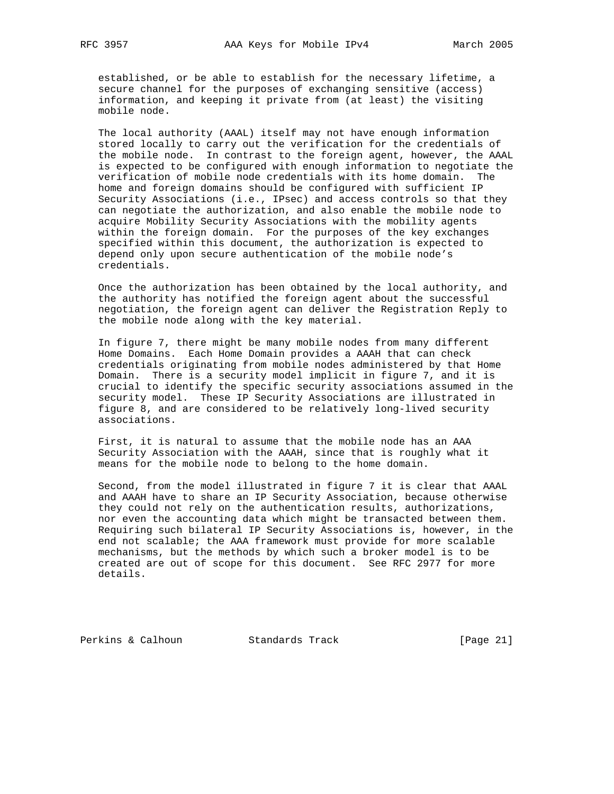established, or be able to establish for the necessary lifetime, a secure channel for the purposes of exchanging sensitive (access) information, and keeping it private from (at least) the visiting mobile node.

 The local authority (AAAL) itself may not have enough information stored locally to carry out the verification for the credentials of the mobile node. In contrast to the foreign agent, however, the AAAL is expected to be configured with enough information to negotiate the verification of mobile node credentials with its home domain. The home and foreign domains should be configured with sufficient IP Security Associations (i.e., IPsec) and access controls so that they can negotiate the authorization, and also enable the mobile node to acquire Mobility Security Associations with the mobility agents within the foreign domain. For the purposes of the key exchanges specified within this document, the authorization is expected to depend only upon secure authentication of the mobile node's credentials.

 Once the authorization has been obtained by the local authority, and the authority has notified the foreign agent about the successful negotiation, the foreign agent can deliver the Registration Reply to the mobile node along with the key material.

 In figure 7, there might be many mobile nodes from many different Home Domains. Each Home Domain provides a AAAH that can check credentials originating from mobile nodes administered by that Home Domain. There is a security model implicit in figure 7, and it is crucial to identify the specific security associations assumed in the security model. These IP Security Associations are illustrated in figure 8, and are considered to be relatively long-lived security associations.

 First, it is natural to assume that the mobile node has an AAA Security Association with the AAAH, since that is roughly what it means for the mobile node to belong to the home domain.

 Second, from the model illustrated in figure 7 it is clear that AAAL and AAAH have to share an IP Security Association, because otherwise they could not rely on the authentication results, authorizations, nor even the accounting data which might be transacted between them. Requiring such bilateral IP Security Associations is, however, in the end not scalable; the AAA framework must provide for more scalable mechanisms, but the methods by which such a broker model is to be created are out of scope for this document. See RFC 2977 for more details.

Perkins & Calhoun Standards Track [Page 21]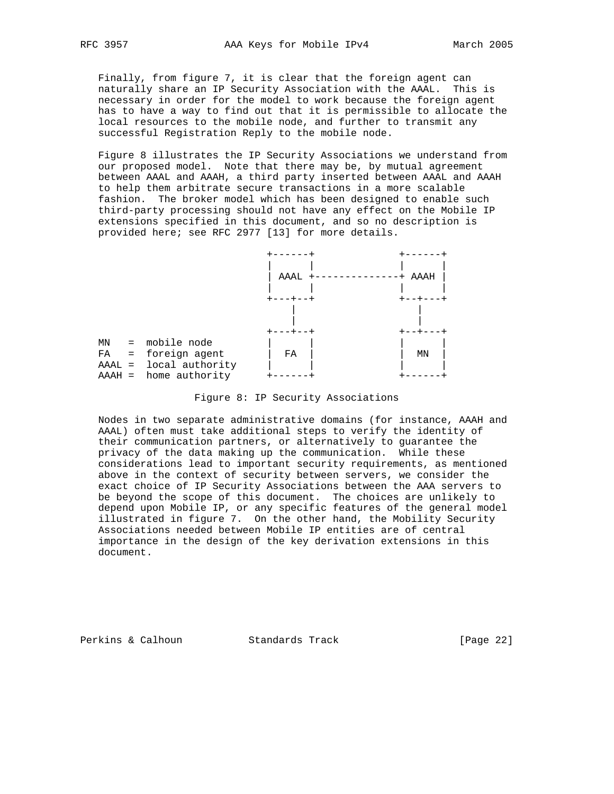Finally, from figure 7, it is clear that the foreign agent can naturally share an IP Security Association with the AAAL. This is necessary in order for the model to work because the foreign agent has to have a way to find out that it is permissible to allocate the local resources to the mobile node, and further to transmit any successful Registration Reply to the mobile node.

 Figure 8 illustrates the IP Security Associations we understand from our proposed model. Note that there may be, by mutual agreement between AAAL and AAAH, a third party inserted between AAAL and AAAH to help them arbitrate secure transactions in a more scalable fashion. The broker model which has been designed to enable such third-party processing should not have any effect on the Mobile IP extensions specified in this document, and so no description is provided here; see RFC 2977 [13] for more details.



Figure 8: IP Security Associations

 Nodes in two separate administrative domains (for instance, AAAH and AAAL) often must take additional steps to verify the identity of their communication partners, or alternatively to guarantee the privacy of the data making up the communication. While these considerations lead to important security requirements, as mentioned above in the context of security between servers, we consider the exact choice of IP Security Associations between the AAA servers to be beyond the scope of this document. The choices are unlikely to depend upon Mobile IP, or any specific features of the general model illustrated in figure 7. On the other hand, the Mobility Security Associations needed between Mobile IP entities are of central importance in the design of the key derivation extensions in this document.

Perkins & Calhoun Standards Track [Page 22]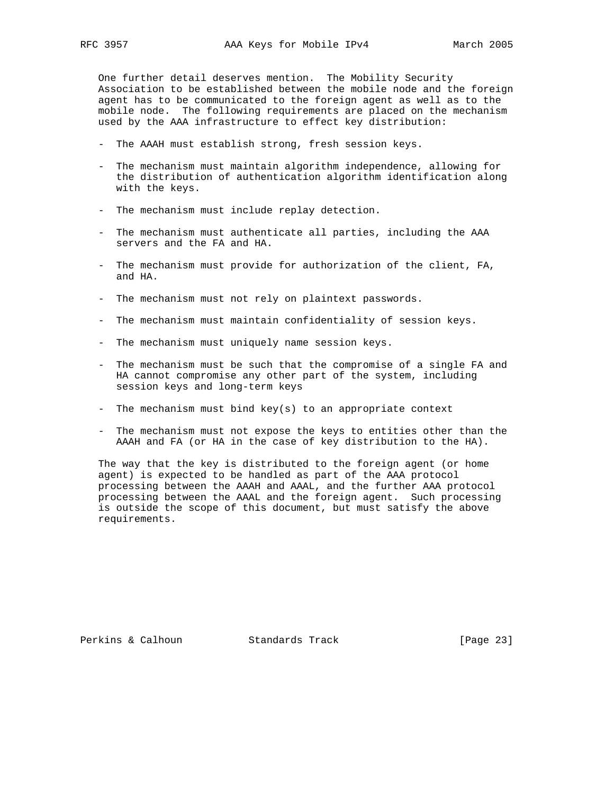One further detail deserves mention. The Mobility Security Association to be established between the mobile node and the foreign agent has to be communicated to the foreign agent as well as to the mobile node. The following requirements are placed on the mechanism used by the AAA infrastructure to effect key distribution:

- The AAAH must establish strong, fresh session keys.
- The mechanism must maintain algorithm independence, allowing for the distribution of authentication algorithm identification along with the keys.
- The mechanism must include replay detection.
- The mechanism must authenticate all parties, including the AAA servers and the FA and HA.
- The mechanism must provide for authorization of the client, FA, and HA.
- The mechanism must not rely on plaintext passwords.
- The mechanism must maintain confidentiality of session keys.
- The mechanism must uniquely name session keys.
- The mechanism must be such that the compromise of a single FA and HA cannot compromise any other part of the system, including session keys and long-term keys
- The mechanism must bind key(s) to an appropriate context
- The mechanism must not expose the keys to entities other than the AAAH and FA (or HA in the case of key distribution to the HA).

 The way that the key is distributed to the foreign agent (or home agent) is expected to be handled as part of the AAA protocol processing between the AAAH and AAAL, and the further AAA protocol processing between the AAAL and the foreign agent. Such processing is outside the scope of this document, but must satisfy the above requirements.

Perkins & Calhoun Standards Track [Page 23]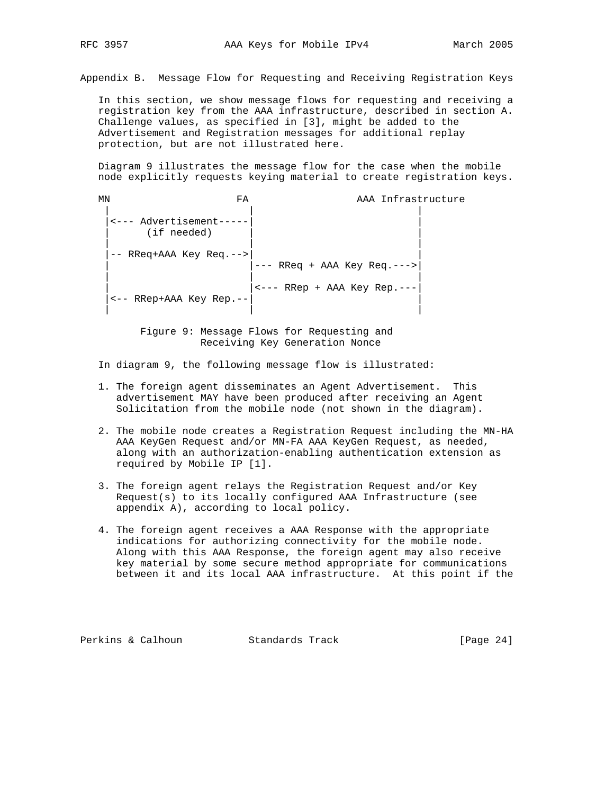Appendix B. Message Flow for Requesting and Receiving Registration Keys

 In this section, we show message flows for requesting and receiving a registration key from the AAA infrastructure, described in section A. Challenge values, as specified in [3], might be added to the Advertisement and Registration messages for additional replay protection, but are not illustrated here.

 Diagram 9 illustrates the message flow for the case when the mobile node explicitly requests keying material to create registration keys.

| ΜN | FA                                   | AAA Infrastructure                      |  |
|----|--------------------------------------|-----------------------------------------|--|
|    | <--- Advertisement---<br>(if needed) |                                         |  |
|    | RReq+AAA Key Req.--><br>$- -$        | --- RReq + AAA Key Req.--->             |  |
|    | <-- RRep+AAA Key Rep.--              | $\leftarrow$ --- RRep + AAA Key Rep.--- |  |

 Figure 9: Message Flows for Requesting and Receiving Key Generation Nonce

In diagram 9, the following message flow is illustrated:

- 1. The foreign agent disseminates an Agent Advertisement. This advertisement MAY have been produced after receiving an Agent Solicitation from the mobile node (not shown in the diagram).
- 2. The mobile node creates a Registration Request including the MN-HA AAA KeyGen Request and/or MN-FA AAA KeyGen Request, as needed, along with an authorization-enabling authentication extension as required by Mobile IP [1].
- 3. The foreign agent relays the Registration Request and/or Key Request(s) to its locally configured AAA Infrastructure (see appendix A), according to local policy.
- 4. The foreign agent receives a AAA Response with the appropriate indications for authorizing connectivity for the mobile node. Along with this AAA Response, the foreign agent may also receive key material by some secure method appropriate for communications between it and its local AAA infrastructure. At this point if the

Perkins & Calhoun Standards Track [Page 24]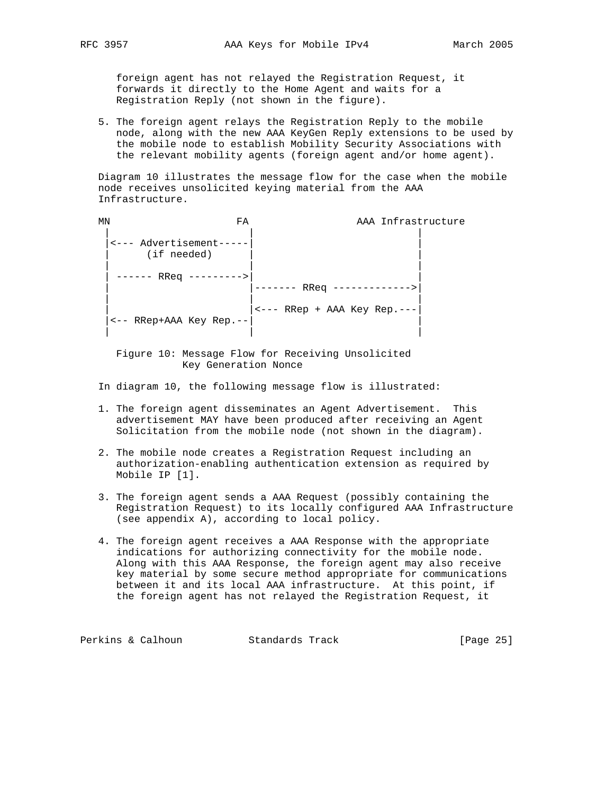foreign agent has not relayed the Registration Request, it forwards it directly to the Home Agent and waits for a Registration Reply (not shown in the figure).

 5. The foreign agent relays the Registration Reply to the mobile node, along with the new AAA KeyGen Reply extensions to be used by the mobile node to establish Mobility Security Associations with the relevant mobility agents (foreign agent and/or home agent).

 Diagram 10 illustrates the message flow for the case when the mobile node receives unsolicited keying material from the AAA Infrastructure.

| ΜN | FA                                     | AAA Infrastructure                      |  |
|----|----------------------------------------|-----------------------------------------|--|
|    | <--- Advertisement-----<br>(if needed) |                                         |  |
|    | RReq                                   | RReq                                    |  |
|    | <-- RRep+AAA Key Rep.--                | $\leftarrow$ --- RRep + AAA Key Rep.--- |  |

 Figure 10: Message Flow for Receiving Unsolicited Key Generation Nonce

In diagram 10, the following message flow is illustrated:

- 1. The foreign agent disseminates an Agent Advertisement. This advertisement MAY have been produced after receiving an Agent Solicitation from the mobile node (not shown in the diagram).
- 2. The mobile node creates a Registration Request including an authorization-enabling authentication extension as required by Mobile IP [1].
- 3. The foreign agent sends a AAA Request (possibly containing the Registration Request) to its locally configured AAA Infrastructure (see appendix A), according to local policy.
- 4. The foreign agent receives a AAA Response with the appropriate indications for authorizing connectivity for the mobile node. Along with this AAA Response, the foreign agent may also receive key material by some secure method appropriate for communications between it and its local AAA infrastructure. At this point, if the foreign agent has not relayed the Registration Request, it

Perkins & Calhoun Standards Track [Page 25]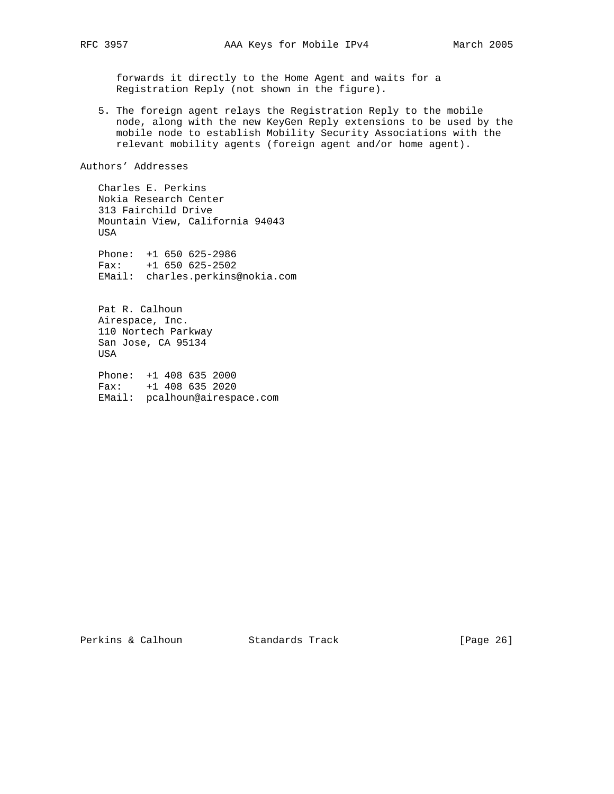forwards it directly to the Home Agent and waits for a Registration Reply (not shown in the figure).

 5. The foreign agent relays the Registration Reply to the mobile node, along with the new KeyGen Reply extensions to be used by the mobile node to establish Mobility Security Associations with the relevant mobility agents (foreign agent and/or home agent).

Authors' Addresses

 Charles E. Perkins Nokia Research Center 313 Fairchild Drive Mountain View, California 94043 USA

 Phone: +1 650 625-2986 Fax: +1 650 625-2502 EMail: charles.perkins@nokia.com

 Pat R. Calhoun Airespace, Inc. 110 Nortech Parkway San Jose, CA 95134 USA

 Phone: +1 408 635 2000 Fax: +1 408 635 2020 EMail: pcalhoun@airespace.com